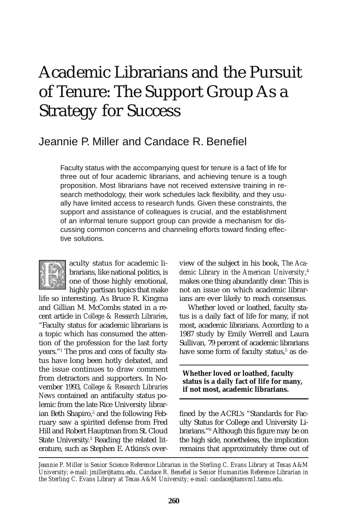# Academic Librarians and the Pursuit of Tenure: The Support Group As a Strategy for Success

# Jeannie P. Miller and Candace R. Benefiel

Faculty status with the accompanying quest for tenure is a fact of life for three out of four academic librarians, and achieving tenure is a tough proposition. Most librarians have not received extensive training in research methodology, their work schedules lack flexibility, and they usually have limited access to research funds. Given these constraints, the support and assistance of colleagues is crucial, and the establishment of an informal tenure support group can provide a mechanism for discussing common concerns and channeling efforts toward finding effective solutions.



aculty status for academic librarians, like national politics, is one of those highly emotional, highly partisan topics that make

life so interesting. As Bruce R. Kingma and Gillian M. McCombs stated in a recent article in *College & Research Libraries*, "Faculty status for academic librarians is a topic which has consumed the attention of the profession for the last forty years."1 The pros and cons of faculty status have long been hotly debated, and the issue continues to draw comment from detractors and supporters. In November 1993, *College & Research Libraries News* contained an antifaculty status polemic from the late Rice University librarian Beth Shapiro,<sup>2</sup> and the following Feb ruary saw a spirited defense from Fred Hill and Robert Hauptman from St. Cloud State University.<sup>3</sup> Reading the related lit erature, such as Stephen E. Atkins's overview of the subject in his book, *The Academic Library in the American University*, 4 makes one thing abundantly clear: This is not an issue on which academic librarians are ever likely to reach consensus.

Whether loved or loathed, faculty status is a daily fact of life for many, if not most, academic librarians. According to a 1987 study by Emily Werrell and Laura Sullivan, 79 percent of academic librarians have some form of faculty status,<sup>5</sup> as de-

**Whether loved or loathed, faculty status is a daily fact of life for many, if not most, academic librarians.** 

fined by the ACRL's "Standards for Faculty Status for College and University Librarians."6 Although this figure may be on the high side, nonetheless, the implication remains that approximately three out of

*Jeannie P. Miller is Senior Science Reference Librarian in the Sterling C. Evans Library at Texas A&M University; e-mail: jmiller@tamu.edu. Candace R. Benefiel is Senior Humanities Reference Librarian in the Sterling C. Evans Library at Texas A&M University; e-mail: candace@tamvm1.tamu.edu.*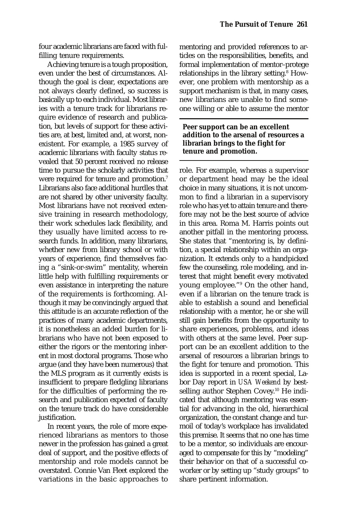four academic librarians are faced with fulfilling tenure requirements.

Achieving tenure is a tough proposition, even under the best of circumstances. Although the goal is clear, expectations are not always clearly defined, so success is basically up to each individual. Most libraries with a tenure track for librarians require evidence of research and publication, but levels of support for these activities are, at best, limited and, at worst, nonexistent. For example, a 1985 survey of academic librarians with faculty status revealed that 50 percent received no release time to pursue the scholarly activities that were required for tenure and promotion.<sup>7</sup> Librarians also face additional hurdles that are not shared by other university faculty. Most librarians have not received extensive training in research methodology, their work schedules lack flexibility, and they usually have limited access to research funds. In addition, many librarians, whether new from library school or with years of experience, find themselves facing a "sink-or-swim" mentality, wherein little help with fulfilling requirements or even assistance in interpreting the nature of the requirements is forthcoming. Although it may be convincingly argued that this attitude is an accurate reflection of the practices of many academic departments, it is nonetheless an added burden for librarians who have not been exposed to either the rigors or the mentoring inherent in most doctoral programs. Those who argue (and they have been numerous) that the MLS program as it currently exists is insufficient to prepare fledgling librarians for the difficulties of performing the research and publication expected of faculty on the tenure track do have considerable justification.

In recent years, the role of more experienced librarians as mentors to those newer in the profession has gained a great deal of support, and the positive effects of mentorship and role models cannot be overstated. Connie Van Fleet explored the variations in the basic approaches to

mentoring and provided references to articles on the responsibilities, benefits, and formal implementation of mentor–protege relationships in the library setting.<sup>8</sup> How ever, one problem with mentorship as a support mechanism is that, in many cases, new librarians are unable to find someone willing or able to assume the mentor

#### **Peer support can be an excellent addition to the arsenal of resources a librarian brings to the fight for tenure and promotion.**

role. For example, whereas a supervisor or department head may be the ideal choice in many situations, it is not uncommon to find a librarian in a supervisory role who has yet to attain tenure and therefore may not be the best source of advice in this area. Roma M. Harris points out another pitfall in the mentoring process. She states that "mentoring is, by definition, a special relationship within an organization. It extends only to a handpicked few the counseling, role modeling, and interest that might benefit every motivated young employee."9 On the other hand, even if a librarian on the tenure track is able to establish a sound and beneficial relationship with a mentor, he or she will still gain benefits from the opportunity to share experiences, problems, and ideas with others at the same level. Peer support can be an excellent addition to the arsenal of resources a librarian brings to the fight for tenure and promotion. This idea is supported in a recent special, Labor Day report in *USA Weekend* by bestselling author Stephen Covey.<sup>10</sup> He indicated that although mentoring was essential for advancing in the old, hierarchical organization, the constant change and turmoil of today's workplace has invalidated this premise. It seems that no one has time to be a mentor, so individuals are encouraged to compensate for this by "modeling" their behavior on that of a successful coworker or by setting up "study groups" to share pertinent information.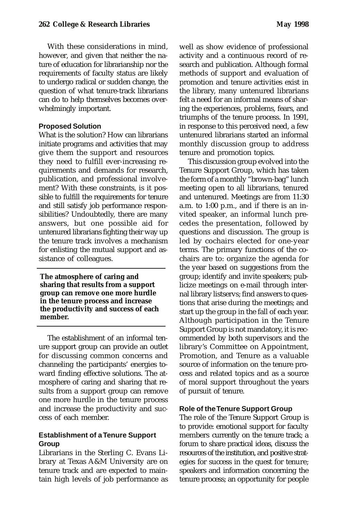With these considerations in mind, however, and given that neither the nature of education for librarianship nor the requirements of faculty status are likely to undergo radical or sudden change, the question of what tenure-track librarians can do to help themselves becomes overwhelmingly important.

#### **Proposed Solution**

What is the solution? How can librarians initiate programs and activities that may give them the support and resources they need to fulfill ever-increasing requirements and demands for research, publication, and professional involvement? With these constraints, is it possible to fulfill the requirements for tenure and still satisfy job performance responsibilities? Undoubtedly, there are many answers, but one possible aid for untenured librarians fighting their way up the tenure track involves a mechanism for enlisting the mutual support and assistance of colleagues.

**The atmosphere of caring and sharing that results from a support group can remove one more hurdle in the tenure process and increase the productivity and success of each member.** 

The establishment of an informal tenure support group can provide an outlet for discussing common concerns and channeling the participants' energies toward finding effective solutions. The atmosphere of caring and sharing that results from a support group can remove one more hurdle in the tenure process and increase the productivity and success of each member.

### **Establishment of a Tenure Support Group**

Librarians in the Sterling C. Evans Library at Texas A&M University are on tenure track and are expected to maintain high levels of job performance as well as show evidence of professional activity and a continuous record of research and publication. Although formal methods of support and evaluation of promotion and tenure activities exist in the library, many untenured librarians felt a need for an informal means of sharing the experiences, problems, fears, and triumphs of the tenure process. In 1991, in response to this perceived need, a few untenured librarians started an informal monthly discussion group to address tenure and promotion topics.

This discussion group evolved into the Tenure Support Group, which has taken the form of a monthly "brown-bag" lunch meeting open to all librarians, tenured and untenured. Meetings are from 11:30 a.m. to 1:00 p.m., and if there is an invited speaker, an informal lunch precedes the presentation, followed by questions and discussion. The group is led by cochairs elected for one-year terms. The primary functions of the cochairs are to: organize the agenda for the year based on suggestions from the group; identify and invite speakers; publicize meetings on e-mail through internal library listservs; find answers to questions that arise during the meetings; and start up the group in the fall of each year. Although participation in the Tenure Support Group is not mandatory, it is recommended by both supervisors and the library's Committee on Appointment, Promotion, and Tenure as a valuable source of information on the tenure process and related topics and as a source of moral support throughout the years of pursuit of tenure.

#### **Role of the Tenure Support Group**

The role of the Tenure Support Group is to provide: emotional support for faculty members currently on the tenure track; a forum to share practical ideas, discuss the resources of the institution, and positive strategies for success in the quest for tenure; speakers and information concerning the tenure process; an opportunity for people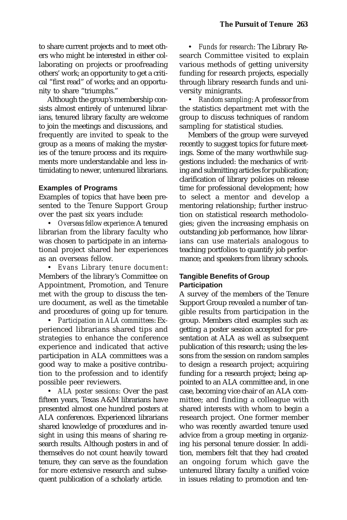to share current projects and to meet others who might be interested in either collaborating on projects or proofreading others' work; an opportunity to get a critical "first read" of works; and an opportunity to share "triumphs."

Although the group's membership consists almost entirely of untenured librarians, tenured library faculty are welcome to join the meetings and discussions, and frequently are invited to speak to the group as a means of making the mysteries of the tenure process and its requirements more understandable and less intimidating to newer, untenured librarians.

### **Examples of Programs**

Examples of topics that have been presented to the Tenure Support Group over the past six years include:

• *Overseas fellow experience*: A tenured librarian from the library faculty who was chosen to participate in an international project shared her experiences as an overseas fellow.

• *Evans Library tenure document*: Members of the library's Committee on Appointment, Promotion, and Tenure met with the group to discuss the tenure document, as well as the timetable and procedures of going up for tenure.

• *Participation in ALA committees*: Experienced librarians shared tips and strategies to enhance the conference experience and indicated that active participation in ALA committees was a good way to make a positive contribution to the profession and to identify possible peer reviewers.

• *ALA poster sessions*: Over the past fifteen years, Texas A&M librarians have presented almost one hundred posters at ALA conferences. Experienced librarians shared knowledge of procedures and insight in using this means of sharing research results. Although posters in and of themselves do not count heavily toward tenure, they can serve as the foundation for more extensive research and subsequent publication of a scholarly article.

• *Funds for research*: The Library Research Committee visited to explain various methods of getting university funding for research projects, especially through library research funds and university minigrants.

• *Random sampling*: A professor from the statistics department met with the group to discuss techniques of random sampling for statistical studies.

Members of the group were surveyed recently to suggest topics for future meetings. Some of the many worthwhile suggestions included: the mechanics of writing and submitting articles for publication; clarification of library policies on release time for professional development; how to select a mentor and develop a mentoring relationship; further instruction on statistical research methodologies; given the increasing emphasis on outstanding job performance, how librarians can use materials analogous to teaching portfolios to quantify job performance; and speakers from library schools.

# **Tangible Benefits of Group Participation**

A survey of the members of the Tenure Support Group revealed a number of tangible results from participation in the group. Members cited examples such as: getting a poster session accepted for presentation at ALA as well as subsequent publication of this research; using the lessons from the session on random samples to design a research project; acquiring funding for a research project; being appointed to an ALA committee and, in one case, becoming vice chair of an ALA committee; and finding a colleague with shared interests with whom to begin a research project. One former member who was recently awarded tenure used advice from a group meeting in organizing his personal tenure dossier. In addition, members felt that they had created an ongoing forum which gave the untenured library faculty a unified voice in issues relating to promotion and ten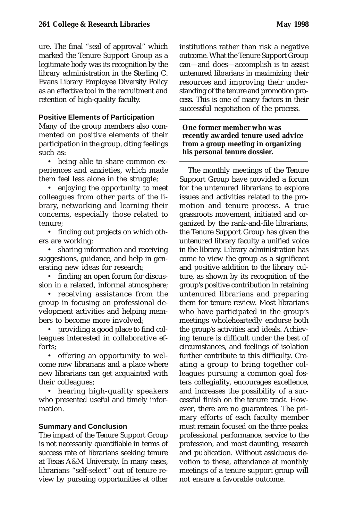ure. The final "seal of approval" which marked the Tenure Support Group as a legitimate body was its recognition by the library administration in the Sterling C. Evans Library Employee Diversity Policy as an effective tool in the recruitment and retention of high-quality faculty.

# **Positive Elements of Participation**

Many of the group members also commented on positive elements of their participation in the group, citing feelings such as:

• being able to share common experiences and anxieties, which made them feel less alone in the struggle;

• enjoying the opportunity to meet colleagues from other parts of the library, networking and learning their concerns, especially those related to tenure;

• finding out projects on which others are working;

• sharing information and receiving suggestions, guidance, and help in generating new ideas for research;

• finding an open forum for discussion in a relaxed, informal atmosphere;

• receiving assistance from the group in focusing on professional development activities and helping members to become more involved;

• providing a good place to find colleagues interested in collaborative efforts;

• offering an opportunity to welcome new librarians and a place where new librarians can get acquainted with their colleagues;

• hearing high-quality speakers who presented useful and timely information.

# **Summary and Conclusion**

The impact of the Tenure Support Group is not necessarily quantifiable in terms of success rate of librarians seeking tenure at Texas A&M University. In many cases, librarians "self-select" out of tenure review by pursuing opportunities at other

institutions rather than risk a negative outcome. What the Tenure Support Group can—and does—accomplish is to assist untenured librarians in maximizing their resources and improving their understanding of the tenure and promotion process. This is one of many factors in their successful negotiation of the process.

#### **One former member who was recently awarded tenure used advice from a group meeting in organizing his personal tenure dossier.**

The monthly meetings of the Tenure Support Group have provided a forum for the untenured librarians to explore issues and activities related to the promotion and tenure process. A true grassroots movement, initiated and organized by the rank-and-file librarians, the Tenure Support Group has given the untenured library faculty a unified voice in the library. Library administration has come to view the group as a significant and positive addition to the library culture, as shown by its recognition of the group's positive contribution in retaining untenured librarians and preparing them for tenure review. Most librarians who have participated in the group's meetings wholeheartedly endorse both the group's activities and ideals. Achieving tenure is difficult under the best of circumstances, and feelings of isolation further contribute to this difficulty. Creating a group to bring together colleagues pursuing a common goal fosters collegiality, encourages excellence, and increases the possibility of a successful finish on the tenure track. However, there are no guarantees. The primary efforts of each faculty member must remain focused on the three peaks: professional performance, service to the profession, and most daunting, research and publication. Without assiduous devotion to these, attendance at monthly meetings of a tenure support group will not ensure a favorable outcome.